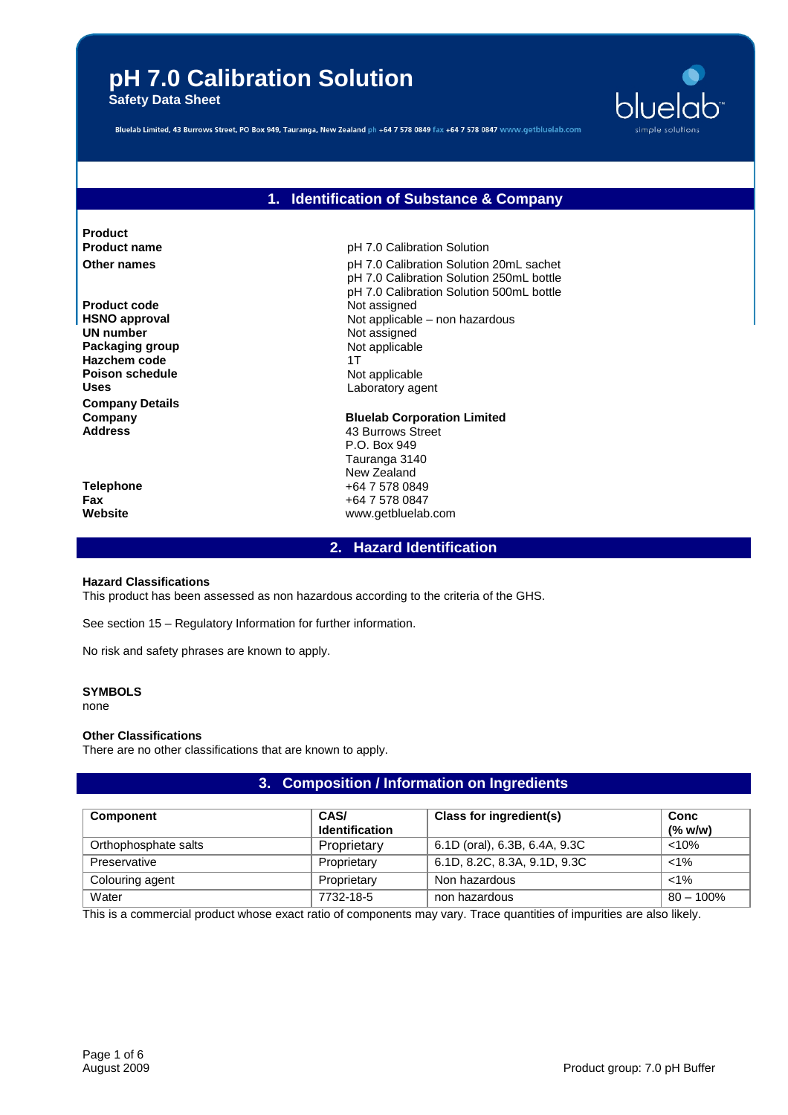**Safety Data Sheet**



Bluelab Limited, 43 Burrows Street, PO Box 949, Tauranga, New Zealand ph +64 7 578 0849 fax +64 7 578 0847 www.getbluelab.com

## **1. Identification of Substance & Company**

**Product**

**Product code** Not assigned **UN number** Not assigned **Packaging group Not applicable Hazchem code** 1T **Poison schedule** Not applicable Uses **Laboratory agent Company Details**

**Product name** pH 7.0 Calibration Solution **Other names pH 7.0 Calibration Solution 20mL sachet** pH 7.0 Calibration Solution 250mL bottle pH 7.0 Calibration Solution 500mL bottle **HSNO approval HSNO** approval **Not applicable – non hazardous** 

**Company Bluelab Corporation Limited**<br> **Address Address Bluelab Corporation Limited Address** 43 Burrows Street P.O. Box 949 Tauranga 3140 New Zealand **Telephone** +64 7 578 0849 **Fax Fax** +64 7 578 0847<br> **Website** Website www.getbluelab **Website** www.getbluelab.com

**2. Hazard Identification**

## **Hazard Classifications**

This product has been assessed as non hazardous according to the criteria of the GHS.

See section 15 – Regulatory Information for further information.

No risk and safety phrases are known to apply.

## **SYMBOLS**

none

## **Other Classifications**

There are no other classifications that are known to apply.

## **3. Composition / Information on Ingredients**

| <b>Component</b>     | CAS/<br><b>Identification</b> | Class for ingredient(s)       | Conc<br>(% w/w) |
|----------------------|-------------------------------|-------------------------------|-----------------|
| Orthophosphate salts | Proprietary                   | 6.1D (oral), 6.3B, 6.4A, 9.3C | < 10%           |
| Preservative         | Proprietary                   | 6.1D, 8.2C, 8.3A, 9.1D, 9.3C  | $< 1\%$         |
| Colouring agent      | Proprietary                   | Non hazardous                 | $< 1\%$         |
| Water                | 7732-18-5                     | non hazardous                 | $80 - 100\%$    |

This is a commercial product whose exact ratio of components may vary. Trace quantities of impurities are also likely.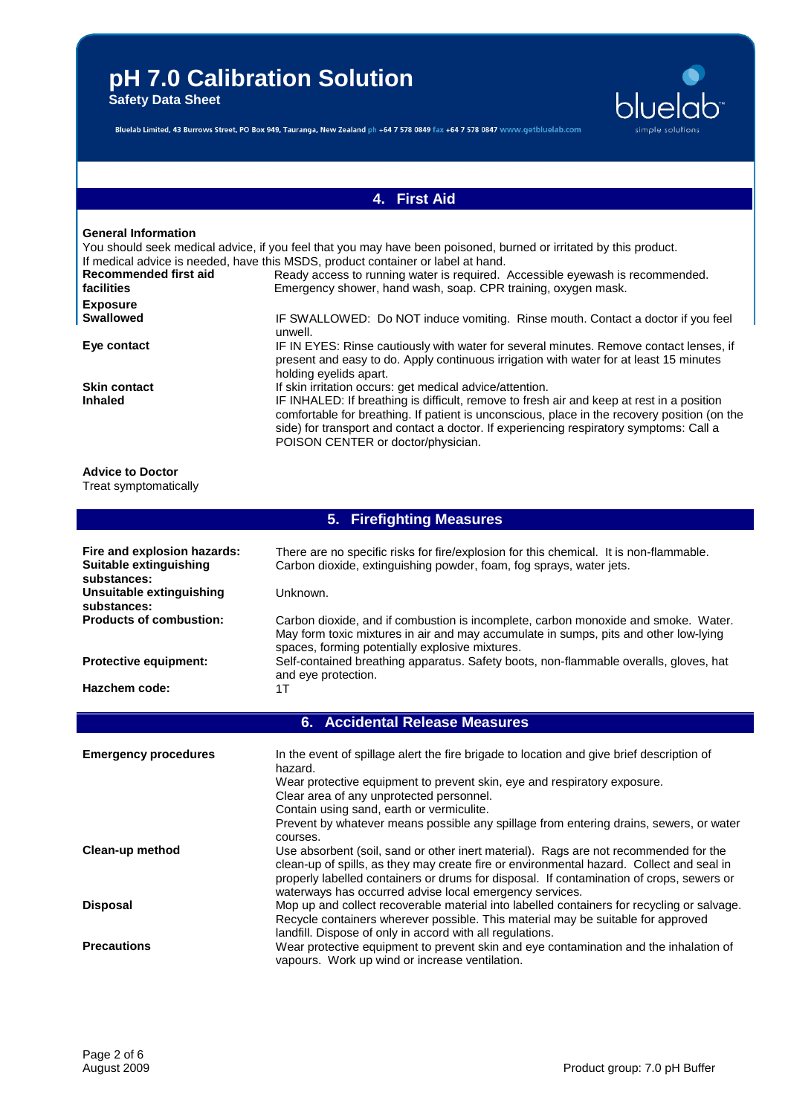**Safety Data Sheet**



Bluelab Limited, 43 Burrows Street, PO Box 949, Tauranga, New Zealand ph +64 7 578 0849 fax +64 7 578 0847 www.getbluelab.com

# **4. First Aid**

## **General Information**

|                       | You should seek medical advice, if you feel that you may have been poisoned, burned or irritated by this product.<br>If medical advice is needed, have this MSDS, product container or label at hand.                                                                                                                     |
|-----------------------|---------------------------------------------------------------------------------------------------------------------------------------------------------------------------------------------------------------------------------------------------------------------------------------------------------------------------|
| Recommended first aid | Ready access to running water is required. Accessible eyewash is recommended.                                                                                                                                                                                                                                             |
| facilities            | Emergency shower, hand wash, soap. CPR training, oxygen mask.                                                                                                                                                                                                                                                             |
| <b>Exposure</b>       |                                                                                                                                                                                                                                                                                                                           |
| <b>Swallowed</b>      | IF SWALLOWED: Do NOT induce vomiting. Rinse mouth. Contact a doctor if you feel<br>unwell.                                                                                                                                                                                                                                |
| Eye contact           | IF IN EYES: Rinse cautiously with water for several minutes. Remove contact lenses, if<br>present and easy to do. Apply continuous irrigation with water for at least 15 minutes<br>holding eyelids apart.                                                                                                                |
| <b>Skin contact</b>   | If skin irritation occurs: get medical advice/attention.                                                                                                                                                                                                                                                                  |
| <b>Inhaled</b>        | IF INHALED: If breathing is difficult, remove to fresh air and keep at rest in a position<br>comfortable for breathing. If patient is unconscious, place in the recovery position (on the<br>side) for transport and contact a doctor. If experiencing respiratory symptoms: Call a<br>POISON CENTER or doctor/physician. |

**Advice to Doctor** Treat symptomatically

| 5. Firefighting Measures                               |                                                                                                                                                                                                                                                                                                                                                                                 |  |
|--------------------------------------------------------|---------------------------------------------------------------------------------------------------------------------------------------------------------------------------------------------------------------------------------------------------------------------------------------------------------------------------------------------------------------------------------|--|
| Fire and explosion hazards:<br>Suitable extinguishing  | There are no specific risks for fire/explosion for this chemical. It is non-flammable.<br>Carbon dioxide, extinguishing powder, foam, fog sprays, water jets.                                                                                                                                                                                                                   |  |
| substances:<br>Unsuitable extinguishing<br>substances: | Unknown.                                                                                                                                                                                                                                                                                                                                                                        |  |
| <b>Products of combustion:</b>                         | Carbon dioxide, and if combustion is incomplete, carbon monoxide and smoke. Water.<br>May form toxic mixtures in air and may accumulate in sumps, pits and other low-lying<br>spaces, forming potentially explosive mixtures.                                                                                                                                                   |  |
| <b>Protective equipment:</b>                           | Self-contained breathing apparatus. Safety boots, non-flammable overalls, gloves, hat<br>and eye protection.                                                                                                                                                                                                                                                                    |  |
| Hazchem code:                                          | 1T                                                                                                                                                                                                                                                                                                                                                                              |  |
|                                                        | 6. Accidental Release Measures                                                                                                                                                                                                                                                                                                                                                  |  |
| <b>Emergency procedures</b>                            | In the event of spillage alert the fire brigade to location and give brief description of<br>hazard.<br>Wear protective equipment to prevent skin, eye and respiratory exposure.<br>Clear area of any unprotected personnel.<br>Contain using sand, earth or vermiculite.<br>Prevent by whatever means possible any spillage from entering drains, sewers, or water<br>courses. |  |
| Clean-up method                                        | Use absorbent (soil, sand or other inert material). Rags are not recommended for the<br>clean-up of spills, as they may create fire or environmental hazard. Collect and seal in<br>properly labelled containers or drums for disposal. If contamination of crops, sewers or<br>waterways has occurred advise local emergency services.                                         |  |
| <b>Disposal</b>                                        | Mop up and collect recoverable material into labelled containers for recycling or salvage.<br>Recycle containers wherever possible. This material may be suitable for approved<br>landfill. Dispose of only in accord with all regulations.                                                                                                                                     |  |
| <b>Precautions</b>                                     | Wear protective equipment to prevent skin and eye contamination and the inhalation of<br>vapours. Work up wind or increase ventilation.                                                                                                                                                                                                                                         |  |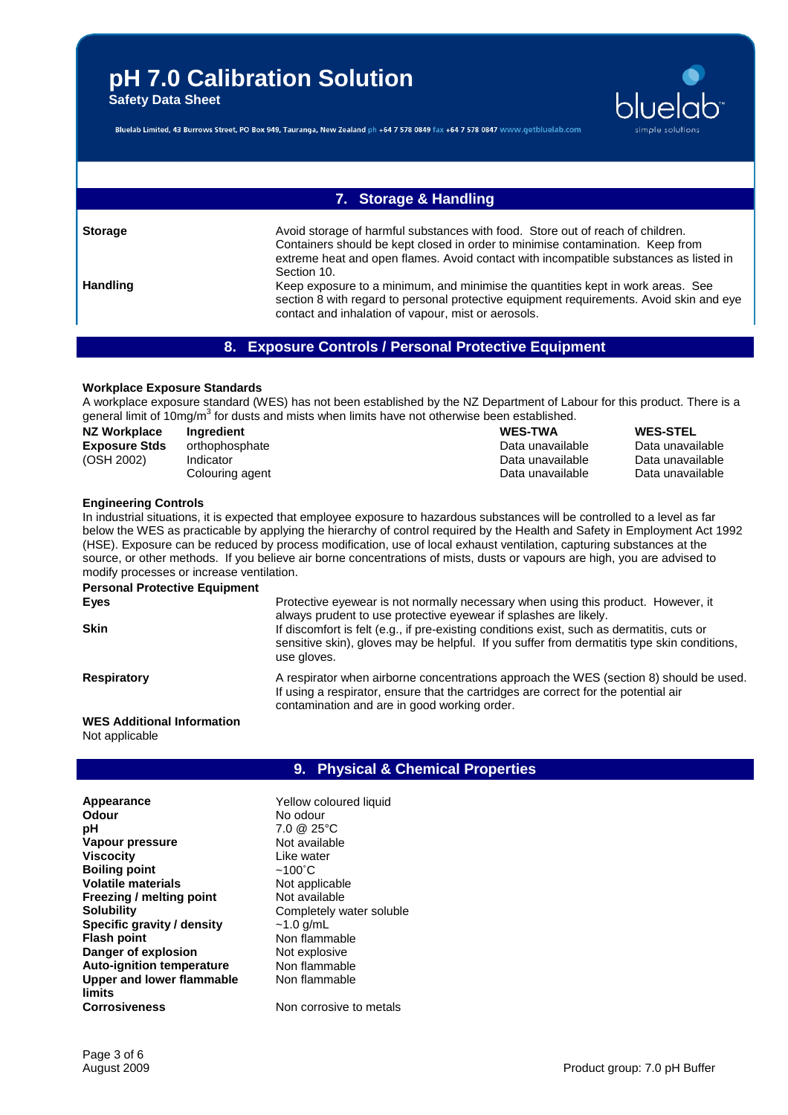**Safety Data Sheet**



Bluelab Limited, 43 Burrows Street, PO Box 949, Tauranga, New Zealand ph +64 7 578 0849 fax +64 7 578 0847 www.getbluelab.com

# **7. Storage & Handling**

**Storage Avoid storage of harmful substances with food.** Store out of reach of children. Containers should be kept closed in order to minimise contamination. Keep from extreme heat and open flames. Avoid contact with incompatible substances as listed in Section 10. **Handling** Keep exposure to a minimum, and minimise the quantities kept in work areas. See section 8 with regard to personal protective equipment requirements. Avoid skin and eye

# **8. Exposure Controls / Personal Protective Equipment**

contact and inhalation of vapour, mist or aerosols.

## **Workplace Exposure Standards**

A workplace exposure standard (WES) has not been established by the NZ Department of Labour for this product. There is a general limit of 10mg/m<sup>3</sup> for dusts and mists when limits have not otherwise been established.

| NZ Workplace         | Ingredient      | <b>WES-TWA</b>   | <b>WES-STEL</b>  |
|----------------------|-----------------|------------------|------------------|
| <b>Exposure Stds</b> | orthophosphate  | Data unavailable | Data unavailable |
| (OSH 2002)           | Indicator       | Data unavailable | Data unavailable |
|                      | Colouring agent | Data unavailable | Data unavailable |

### **Engineering Controls**

In industrial situations, it is expected that employee exposure to hazardous substances will be controlled to a level as far below the WES as practicable by applying the hierarchy of control required by the Health and Safety in Employment Act 1992 (HSE). Exposure can be reduced by process modification, use of local exhaust ventilation, capturing substances at the source, or other methods. If you believe air borne concentrations of mists, dusts or vapours are high, you are advised to modify processes or increase ventilation.

| <b>Personal Protective Equipment</b> |                                                                                                                                                                                                                               |
|--------------------------------------|-------------------------------------------------------------------------------------------------------------------------------------------------------------------------------------------------------------------------------|
| Eyes                                 | Protective eyewear is not normally necessary when using this product. However, it<br>always prudent to use protective eyewear if splashes are likely.                                                                         |
| <b>Skin</b>                          | If discomfort is felt (e.g., if pre-existing conditions exist, such as dermatitis, cuts or<br>sensitive skin), gloves may be helpful. If you suffer from dermatitis type skin conditions,<br>use gloves.                      |
| <b>Respiratory</b>                   | A respirator when airborne concentrations approach the WES (section 8) should be used.<br>If using a respirator, ensure that the cartridges are correct for the potential air<br>contamination and are in good working order. |

### **WES Additional Information** Not applicable

## **9. Physical & Chemical Properties**

**Appearance** Yellow coloured liquid **Odour**<br> **Definition**<br> **Definition**<br> **Definition**<br> **Definition**<br> **Definition**<br> **Definition**<br> **Definition**<br> **Definition**<br> **Definition Vapour pressure** Not available **Viscocity Like water Boiling point** ~100˚C **Volatile materials** Not applicable **Freezing / melting point** Not available **Solubility** Completely water soluble **Specific gravity / density**  $\sim$  1.0 g/mL<br>**Flash point** Non flamm **Danger of explosion** Not explosive **Auto-ignition temperature** Non flammable **Upper and lower flammable limits Corrosiveness** Non corrosive to metals

**pH** 7.0 @ 25°C **Non flammable** Non flammable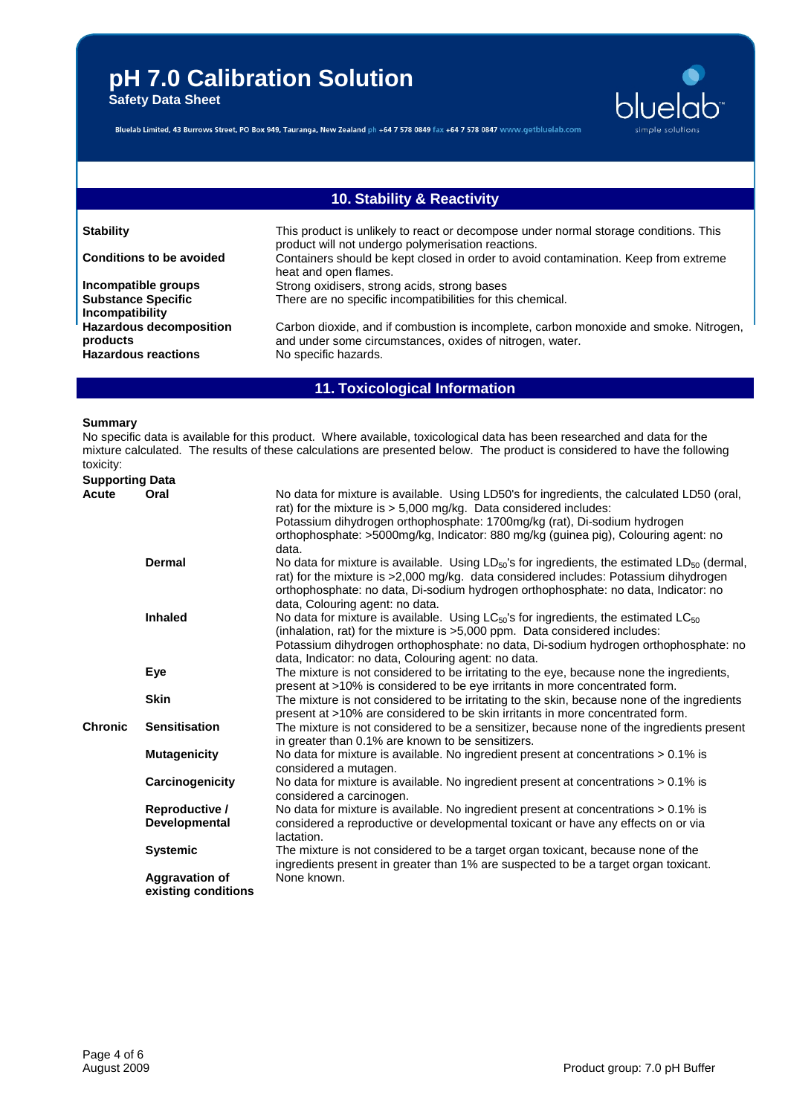**Safety Data Sheet**



Bluelab Limited, 43 Burrows Street, PO Box 949, Tauranga, New Zealand ph +64 7 578 0849 fax +64 7 578 0847 www.getbluelab.com

# **10. Stability & Reactivity**

| <b>Stability</b>                                                         | This product is unlikely to react or decompose under normal storage conditions. This<br>product will not undergo polymerisation reactions.                                |
|--------------------------------------------------------------------------|---------------------------------------------------------------------------------------------------------------------------------------------------------------------------|
| <b>Conditions to be avoided</b>                                          | Containers should be kept closed in order to avoid contamination. Keep from extreme<br>heat and open flames.                                                              |
| Incompatible groups<br><b>Substance Specific</b><br>Incompatibility      | Strong oxidisers, strong acids, strong bases<br>There are no specific incompatibilities for this chemical.                                                                |
| <b>Hazardous decomposition</b><br>products<br><b>Hazardous reactions</b> | Carbon dioxide, and if combustion is incomplete, carbon monoxide and smoke. Nitrogen,<br>and under some circumstances, oxides of nitrogen, water.<br>No specific hazards. |

# **11. Toxicological Information**

### **Summary**

No specific data is available for this product. Where available, toxicological data has been researched and data for the mixture calculated. The results of these calculations are presented below. The product is considered to have the following toxicity:

| <b>Supporting Data</b> |                                              |                                                                                                                                                                                                                                                                                                                                           |
|------------------------|----------------------------------------------|-------------------------------------------------------------------------------------------------------------------------------------------------------------------------------------------------------------------------------------------------------------------------------------------------------------------------------------------|
| Acute                  | Oral                                         | No data for mixture is available. Using LD50's for ingredients, the calculated LD50 (oral,<br>rat) for the mixture is > 5,000 mg/kg. Data considered includes:<br>Potassium dihydrogen orthophosphate: 1700mg/kg (rat), Di-sodium hydrogen<br>orthophosphate: >5000mg/kg, Indicator: 880 mg/kg (guinea pig), Colouring agent: no<br>data. |
|                        | Dermal                                       | No data for mixture is available. Using $LD_{50}$ 's for ingredients, the estimated $LD_{50}$ (dermal,<br>rat) for the mixture is >2,000 mg/kg. data considered includes: Potassium dihydrogen<br>orthophosphate: no data, Di-sodium hydrogen orthophosphate: no data, Indicator: no<br>data, Colouring agent: no data.                   |
|                        | <b>Inhaled</b>                               | No data for mixture is available. Using LC <sub>50</sub> 's for ingredients, the estimated LC <sub>50</sub><br>(inhalation, rat) for the mixture is >5,000 ppm. Data considered includes:<br>Potassium dihydrogen orthophosphate: no data, Di-sodium hydrogen orthophosphate: no<br>data, Indicator: no data, Colouring agent: no data.   |
|                        | Eye                                          | The mixture is not considered to be irritating to the eye, because none the ingredients,<br>present at >10% is considered to be eye irritants in more concentrated form.                                                                                                                                                                  |
|                        | <b>Skin</b>                                  | The mixture is not considered to be irritating to the skin, because none of the ingredients<br>present at >10% are considered to be skin irritants in more concentrated form.                                                                                                                                                             |
| <b>Chronic</b>         | <b>Sensitisation</b>                         | The mixture is not considered to be a sensitizer, because none of the ingredients present<br>in greater than 0.1% are known to be sensitizers.                                                                                                                                                                                            |
|                        | <b>Mutagenicity</b>                          | No data for mixture is available. No ingredient present at concentrations > 0.1% is<br>considered a mutagen.                                                                                                                                                                                                                              |
|                        | Carcinogenicity                              | No data for mixture is available. No ingredient present at concentrations > 0.1% is<br>considered a carcinogen.                                                                                                                                                                                                                           |
|                        | Reproductive /<br>Developmental              | No data for mixture is available. No ingredient present at concentrations > 0.1% is<br>considered a reproductive or developmental toxicant or have any effects on or via<br>lactation.                                                                                                                                                    |
|                        | <b>Systemic</b>                              | The mixture is not considered to be a target organ toxicant, because none of the<br>ingredients present in greater than 1% are suspected to be a target organ toxicant.                                                                                                                                                                   |
|                        | <b>Aggravation of</b><br>existing conditions | None known.                                                                                                                                                                                                                                                                                                                               |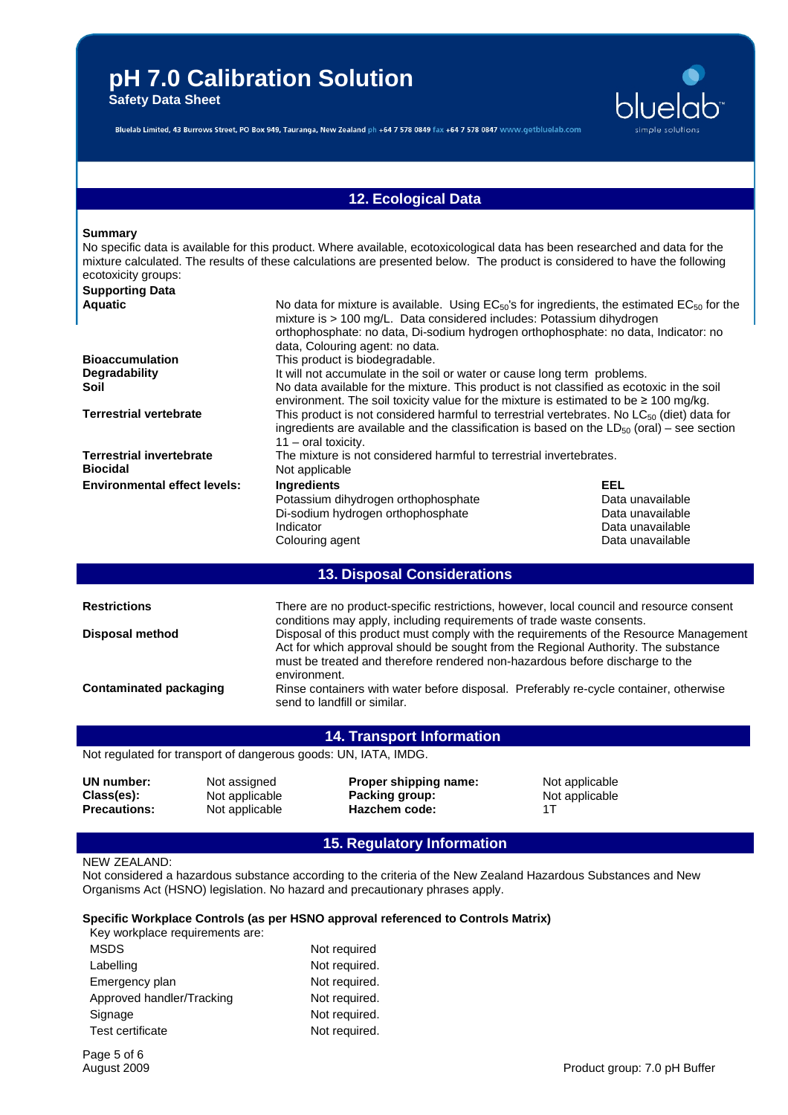**Safety Data Sheet**



Bluelab Limited, 43 Burrows Street, PO Box 949, Tauranga, New Zealand ph +64 7 578 0849 fax +64 7 578 0847 www.getbluelab.com

## **12. Ecological Data**

#### **Summary**

| ecotoxicity groups:                                | No specific data is available for this product. Where available, ecotoxicological data has been researched and data for the<br>mixture calculated. The results of these calculations are presented below. The product is considered to have the following                                               |                  |  |
|----------------------------------------------------|---------------------------------------------------------------------------------------------------------------------------------------------------------------------------------------------------------------------------------------------------------------------------------------------------------|------------------|--|
| <b>Supporting Data</b>                             |                                                                                                                                                                                                                                                                                                         |                  |  |
| <b>Aquatic</b>                                     | No data for mixture is available. Using $EC_{50}$ 's for ingredients, the estimated $EC_{50}$ for the<br>mixture is > 100 mg/L. Data considered includes: Potassium dihydrogen<br>orthophosphate: no data, Di-sodium hydrogen orthophosphate: no data, Indicator: no<br>data, Colouring agent: no data. |                  |  |
| <b>Bioaccumulation</b>                             | This product is biodegradable.                                                                                                                                                                                                                                                                          |                  |  |
| <b>Degradability</b>                               | It will not accumulate in the soil or water or cause long term problems.                                                                                                                                                                                                                                |                  |  |
| Soil                                               | No data available for the mixture. This product is not classified as ecotoxic in the soil<br>environment. The soil toxicity value for the mixture is estimated to be $\geq 100$ mg/kg.                                                                                                                  |                  |  |
| <b>Terrestrial vertebrate</b>                      | This product is not considered harmful to terrestrial vertebrates. No $LC_{50}$ (diet) data for<br>ingredients are available and the classification is based on the $LD_{50}$ (oral) – see section<br>$11 - \text{oral toxicity.}$                                                                      |                  |  |
| <b>Terrestrial invertebrate</b><br><b>Biocidal</b> | The mixture is not considered harmful to terrestrial invertebrates.<br>Not applicable                                                                                                                                                                                                                   |                  |  |
| <b>Environmental effect levels:</b>                | <b>Ingredients</b>                                                                                                                                                                                                                                                                                      | EEL              |  |
|                                                    | Potassium dihydrogen orthophosphate                                                                                                                                                                                                                                                                     | Data unavailable |  |
|                                                    | Di-sodium hydrogen orthophosphate                                                                                                                                                                                                                                                                       | Data unavailable |  |
|                                                    | Indicator                                                                                                                                                                                                                                                                                               | Data unavailable |  |

# **13. Disposal Considerations**

| <b>Restrictions</b>    | There are no product-specific restrictions, however, local council and resource consent<br>conditions may apply, including requirements of trade waste consents.                                                                                                            |  |
|------------------------|-----------------------------------------------------------------------------------------------------------------------------------------------------------------------------------------------------------------------------------------------------------------------------|--|
| <b>Disposal method</b> | Disposal of this product must comply with the requirements of the Resource Management<br>Act for which approval should be sought from the Regional Authority. The substance<br>must be treated and therefore rendered non-hazardous before discharge to the<br>environment. |  |
| Contaminated packaging | Rinse containers with water before disposal. Preferably re-cycle container, otherwise<br>send to landfill or similar.                                                                                                                                                       |  |

## **14. Transport Information**

Not regulated for transport of dangerous goods: UN, IATA, IMDG.

| UN number:<br>Class(es):<br><b>Precautions:</b> | Not assigned<br>Not applicable<br>Not applicable | Proper shipping name:<br>Packing group:<br>Hazchem code: | Not applicable<br>Not applicable |
|-------------------------------------------------|--------------------------------------------------|----------------------------------------------------------|----------------------------------|
|                                                 |                                                  |                                                          |                                  |

# **15. Regulatory Information**

## NEW ZEALAND:

Not considered a hazardous substance according to the criteria of the New Zealand Hazardous Substances and New Organisms Act (HSNO) legislation. No hazard and precautionary phrases apply.

#### **Specific Workplace Controls (as per HSNO approval referenced to Controls Matrix)** Key workplace requirements are:

Colouring agent

| Rev workplace requirements are. |               |
|---------------------------------|---------------|
| <b>MSDS</b>                     | Not required  |
| Labelling                       | Not required. |
| Emergency plan                  | Not required. |
| Approved handler/Tracking       | Not required. |
| Signage                         | Not required. |
| Test certificate                | Not required. |

Data unavailable